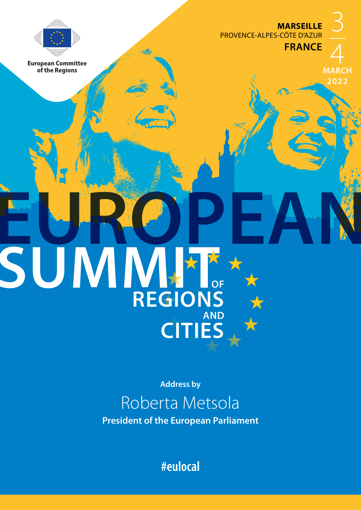**MARSEILLE** PROVENCE-ALPES-CÔTE D'AZUR

**FRANCE**



**European Committee** of the Regions

4 **MARCH 2022**

3

**Address by**

**EUROPEAN**

**REGIONS** 

**CITIES**

**AND**

SUMMITT

## Roberta Metsola

**President of the European Parliament**

**#eulocal**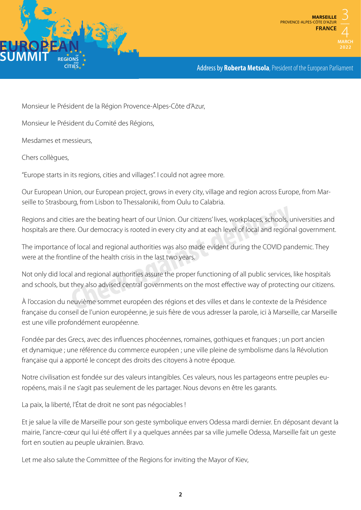



Address by **Roberta Metsola**, President of the European Parliament

Monsieur le Président de la Région Provence-Alpes-Côte d'Azur,

Monsieur le Président du Comité des Régions,

Mesdames et messieurs,

Chers collègues,

"Europe starts in its regions, cities and villages". I could not agree more.

Our European Union, our European project, grows in every city, village and region across Europe, from Marseille to Strasbourg, from Lisbon to Thessaloniki, from Oulu to Calabria.

Regions and cities are the beating heart of our Union. Our citizens' lives, workplaces, schools, universities and hospitals are there. Our democracy is rooted in every city and at each level of local and regional government. Example 12 and the beating heart of our Union. Our citizens' lives, workplaces, schools, und the courd democracy is rooted in every city and at each level of local and regional of local and regional authorities was also ma

The importance of local and regional authorities was also made evident during the COVID pandemic. They were at the frontline of the health crisis in the last two years.

Not only did local and regional authorities assure the proper functioning of all public services, like hospitals and schools, but they also advised central governments on the most effective way of protecting our citizens.

À l'occasion du neuvième sommet européen des régions et des villes et dans le contexte de la Présidence française du conseil de l'union européenne, je suis fière de vous adresser la parole, ici à Marseille, car Marseille est une ville profondément européenne.

Fondée par des Grecs, avec des influences phocéennes, romaines, gothiques et franques ; un port ancien et dynamique ; une référence du commerce européen ; une ville pleine de symbolisme dans la Révolution française qui a apporté le concept des droits des citoyens à notre époque.

Notre civilisation est fondée sur des valeurs intangibles. Ces valeurs, nous les partageons entre peuples européens, mais il ne s'agit pas seulement de les partager. Nous devons en être les garants.

La paix, la liberté, l'État de droit ne sont pas négociables !

Et je salue la ville de Marseille pour son geste symbolique envers Odessa mardi dernier. En déposant devant la mairie, l'ancre-cœur qui lui été offert il y a quelques années par sa ville jumelle Odessa, Marseille fait un geste fort en soutien au peuple ukrainien. Bravo.

Let me also salute the Committee of the Regions for inviting the Mayor of Kiev,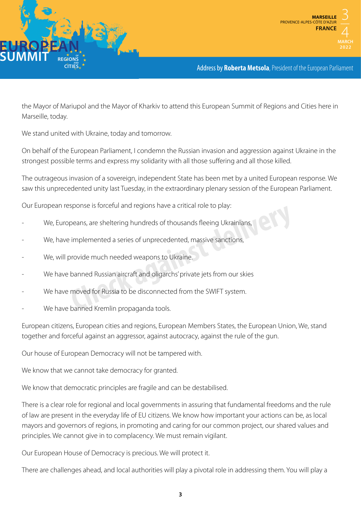

Address by **Roberta Metsola**, President of the European Parliament

the Mayor of Mariupol and the Mayor of Kharkiv to attend this European Summit of Regions and Cities here in Marseille, today.

We stand united with Ukraine, today and tomorrow.

On behalf of the European Parliament, I condemn the Russian invasion and aggression against Ukraine in the strongest possible terms and express my solidarity with all those suffering and all those killed.

The outrageous invasion of a sovereign, independent State has been met by a united European response. We saw this unprecedented unity last Tuesday, in the extraordinary plenary session of the European Parliament.

Our European response is forceful and regions have a critical role to play:

- We, Europeans, are sheltering hundreds of thousands fleeing Ukrainians,
- We, have implemented a series of unprecedented, massive sanctions,
- We, will provide much needed weapons to Ukraine.
- We have banned Russian aircraft and oligarchs' private jets from our skies peans, are sheltering hundreds of thousands fleeing Ukrainians,<br>
implemented a series of unprecedented, massive sanctions,<br>
provide much needed weapons to Ukraine.<br>
banned Russian aircraft and oligarchs' private jets from
- We have moved for Russia to be disconnected from the SWIFT system.
- We have banned Kremlin propaganda tools.

European citizens, European cities and regions, European Members States, the European Union, We, stand together and forceful against an aggressor, against autocracy, against the rule of the gun.

Our house of European Democracy will not be tampered with.

We know that we cannot take democracy for granted.

We know that democratic principles are fragile and can be destabilised.

There is a clear role for regional and local governments in assuring that fundamental freedoms and the rule of law are present in the everyday life of EU citizens. We know how important your actions can be, as local mayors and governors of regions, in promoting and caring for our common project, our shared values and principles. We cannot give in to complacency. We must remain vigilant.

Our European House of Democracy is precious. We will protect it.

There are challenges ahead, and local authorities will play a pivotal role in addressing them. You will play a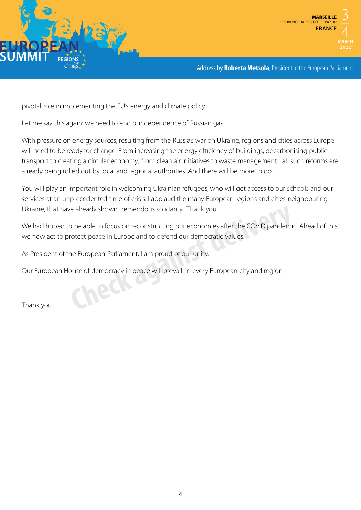



Address by **Roberta Metsola**, President of the European Parliament

pivotal role in implementing the EU's energy and climate policy.

Let me say this again: we need to end our dependence of Russian gas.

With pressure on energy sources, resulting from the Russia's war on Ukraine, regions and cities across Europe will need to be ready for change. From increasing the energy efficiency of buildings, decarbonising public transport to creating a circular economy; from clean air initiatives to waste management... all such reforms are already being rolled out by local and regional authorities. And there will be more to do.

You will play an important role in welcoming Ukrainian refugees, who will get access to our schools and our services at an unprecedented time of crisis. I applaud the many European regions and cities neighbouring Ukraine, that have already shown tremendous solidarity. Thank you.

We had hoped to be able to focus on reconstructing our economies after the COVID pandemic. Ahead of this, we now act to protect peace in Europe and to defend our democratic values. Ukraine, that have already shown tremendous solidarity. Thank you.<br>We had hoped to be able to focus on reconstructing our economies after the COVID pandemic<br>we now act to protect peace in Europe and to defend our democrati

As President of the European Parliament, I am proud of our unity.

Our European House of democracy in peace will prevail, in every European city and region.